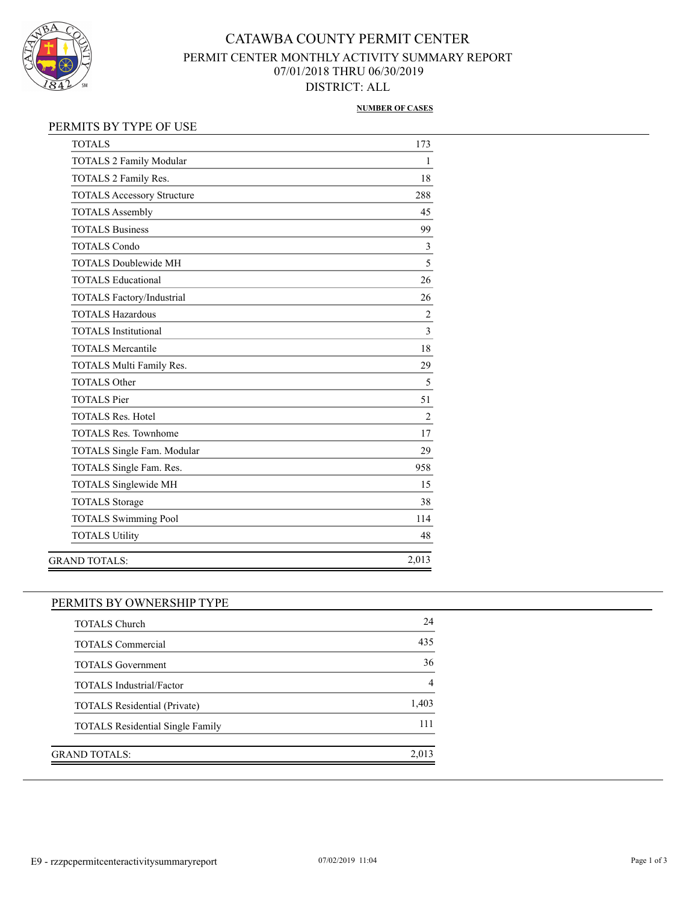

## CATAWBA COUNTY PERMIT CENTER PERMIT CENTER MONTHLY ACTIVITY SUMMARY REPORT 07/01/2018 THRU 06/30/2019 DISTRICT: ALL

### **NUMBER OF CASES**

## PERMITS BY TYPE OF USE

| <b>TOTALS</b>                     | 173            |
|-----------------------------------|----------------|
| <b>TOTALS 2 Family Modular</b>    | 1              |
| TOTALS 2 Family Res.              | 18             |
| <b>TOTALS Accessory Structure</b> | 288            |
| <b>TOTALS Assembly</b>            | 45             |
| <b>TOTALS Business</b>            | 99             |
| <b>TOTALS Condo</b>               | 3              |
| <b>TOTALS Doublewide MH</b>       | 5              |
| <b>TOTALS Educational</b>         | 26             |
| TOTALS Factory/Industrial         | 26             |
| <b>TOTALS Hazardous</b>           | $\overline{2}$ |
| <b>TOTALS</b> Institutional       | 3              |
| <b>TOTALS Mercantile</b>          | 18             |
| TOTALS Multi Family Res.          | 29             |
| <b>TOTALS Other</b>               | 5              |
| <b>TOTALS Pier</b>                | 51             |
| <b>TOTALS Res. Hotel</b>          | $\overline{2}$ |
| <b>TOTALS Res. Townhome</b>       | 17             |
| TOTALS Single Fam. Modular        | 29             |
| TOTALS Single Fam. Res.           | 958            |
| <b>TOTALS Singlewide MH</b>       | 15             |
| <b>TOTALS</b> Storage             | 38             |
| <b>TOTALS Swimming Pool</b>       | 114            |
| <b>TOTALS Utility</b>             | 48             |
| <b>GRAND TOTALS:</b>              | 2,013          |
|                                   |                |

## PERMITS BY OWNERSHIP TYPE

| <b>TOTALS Church</b>                    | 24    |
|-----------------------------------------|-------|
| <b>TOTALS</b> Commercial                | 435   |
| <b>TOTALS</b> Government                | 36    |
| <b>TOTALS</b> Industrial/Factor         |       |
| <b>TOTALS Residential (Private)</b>     | 1,403 |
| <b>TOTALS</b> Residential Single Family | 111   |
|                                         |       |
| GRAND TOTALS:                           | 2.013 |
|                                         |       |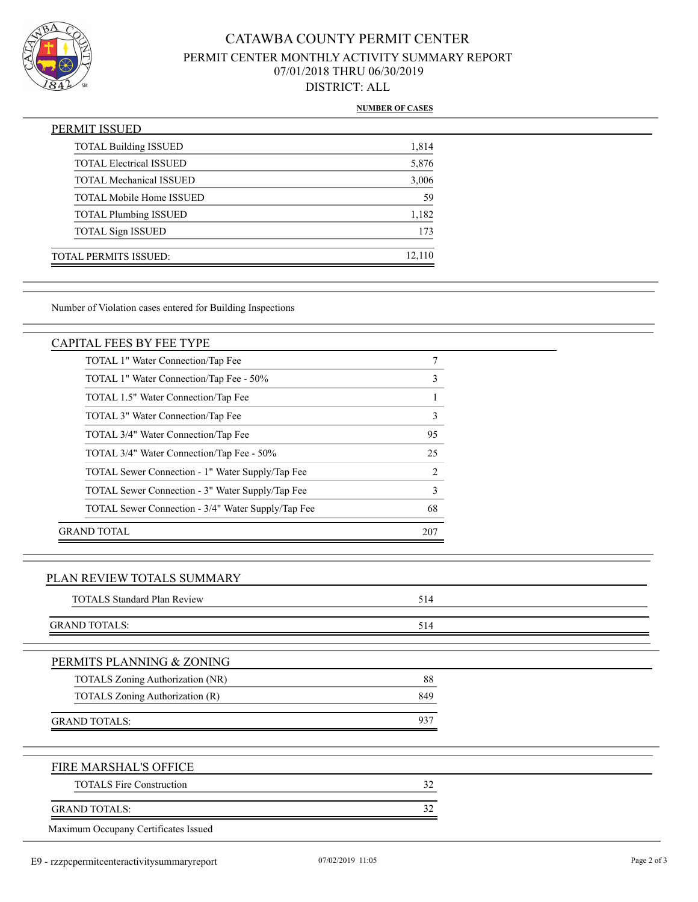

# CATAWBA COUNTY PERMIT CENTER PERMIT CENTER MONTHLY ACTIVITY SUMMARY REPORT 07/01/2018 THRU 06/30/2019 DISTRICT: ALL

### **NUMBER OF CASES**

| PERMIT ISSUED                   |        |
|---------------------------------|--------|
| <b>TOTAL Building ISSUED</b>    | 1,814  |
| <b>TOTAL Electrical ISSUED</b>  | 5,876  |
| <b>TOTAL Mechanical ISSUED</b>  | 3,006  |
| <b>TOTAL Mobile Home ISSUED</b> | 59     |
| <b>TOTAL Plumbing ISSUED</b>    | 1,182  |
| <b>TOTAL Sign ISSUED</b>        | 173    |
| <b>TOTAL PERMITS ISSUED:</b>    | 12,110 |

Number of Violation cases entered for Building Inspections

### CAPITAL FEES BY FEE TYPE

| TOTAL 1" Water Connection/Tap Fee                  |                               |
|----------------------------------------------------|-------------------------------|
| TOTAL 1" Water Connection/Tap Fee - 50%            | 3                             |
| TOTAL 1.5" Water Connection/Tap Fee                |                               |
| TOTAL 3" Water Connection/Tap Fee                  | 3                             |
| TOTAL 3/4" Water Connection/Tap Fee                | 95                            |
| TOTAL 3/4" Water Connection/Tap Fee - 50%          | 25                            |
| TOTAL Sewer Connection - 1" Water Supply/Tap Fee   | $\mathfrak{D}_{\mathfrak{p}}$ |
| TOTAL Sewer Connection - 3" Water Supply/Tap Fee   | $\mathcal{E}$                 |
| TOTAL Sewer Connection - 3/4" Water Supply/Tap Fee | 68                            |
| GRAND TOTAL                                        | 207                           |

### PLAN REVIEW TOTALS SUMMARY

| <b>TOTALS Standard Plan Review</b> | 514 |  |
|------------------------------------|-----|--|
| <b>GRAND TOTALS:</b>               | 514 |  |
| PERMITS PLANNING & ZONING          |     |  |
| TOTALS Zoning Authorization (NR)   | 88  |  |
| TOTALS Zoning Authorization (R)    | 849 |  |
| <b>GRAND TOTALS:</b>               | 937 |  |
| FIRE MARSHAL'S OFFICE              |     |  |
| <b>TOTALS Fire Construction</b>    | 32  |  |
| <b>GRAND TOTALS:</b>               | 32  |  |